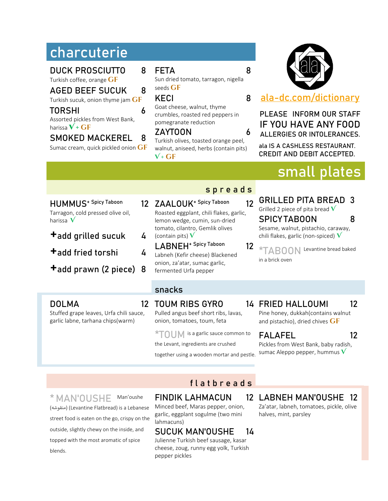# **charcuterie**

DUCK PROSCIUTTO 8

Turkish coffee, orange GF

#### AGED BEEF SUCUK 8

Turkish sucuk, onion thyme jam **gf**

#### TORSHI 6

Assorted pickles from West Bank, harissa  $V + GF$ 

## SMOKED MACKEREL 8

Sumac cream, quick pickled onion **gf**

#### FETA 8

Sun dried tomato, tarragon, nigella seeds GF

#### KECI 8

Goat cheese, walnut, thyme crumbles, roasted red peppers in pomegranate reduction

#### ZAYTOON 6

Turkish olives, toasted orange peel, walnut, aniseed, herbs (contain pits) **V + gf**

# **[ala-dc.com/dictionary](http://www.ala-dc.com/dictionary)**

#### **PLEASE INFORM OUR STAFF IF YOU HAVE ANY FOOD ALLERGIES OR INTOLERANCES.**

ala IS A CASHLESS RESTAURANT. CREDIT AND DEBIT ACCEPTED.

# **small plates**

#### HUMMUS<sup>+ Spicy Taboon</sup> Tarragon, cold pressed olive oil, harissa **V**

- +add grilled sucuk <sup>4</sup>
- +add fried torshi <sup>4</sup>
- +add prawn (2 piece) <sup>8</sup>
- 12 ZAALOUK<sup>+ Spicy Taboon</sup> 12 Roasted eggplant, chili flakes, garlic, lemon wedge, cumin, sun-dried tomato, cilantro, Gemlik olives (contain pits) **V**
	- LABNEH<sup>+ Spicy Taboon</sup> 12 Labneh (Kefir cheese) Blackened onion, za'atar, sumac garlic, fermented Urfa pepper

#### s p r e a d s

- GRILLED PITA BREAD 3 Grilled 2 piece of pita bread **V** SPICY TABOON 8 Sesame, walnut, pistachio, caraway, chili flakes, garlic (non-spiced) **V**
- **\*TABOON** Levantine bread baked in a brick oven

#### snacks

#### **DOLMA**

Stuffed grape leaves, Urfa chili sauce, garlic labne, tarhana chips(warm)

#### 12 TOUM RIBS GYRO

Pulled angus beef short ribs, lavas, onion, tomatoes, toum, feta

**\*TOUM** is a garlic sauce common to

the Levant, ingredients are crushed

together using a wooden mortar and pestle.

14 FRIED HALLOUMI 12

Pine honey, dukkah(contains walnut and pistachio), dried chives  $GF$ 

## FALAFEL 12

Pickles from West Bank, baby radish, sumac Aleppo pepper, hummus **V**

## flat b r e a d s

## **\* MAN'OUSHE** Man'oushe

( منقوشه) (Levantine Flatbread) is a Lebanese street food is eaten on the go, crispy on the outside, slightly chewy on the inside, and topped with the most aromatic of spice blends.

# FINDIK LAHMACUN

Minced beef, Maras pepper, onion, garlic, eggplant sogulme (two mini lahmacuns)

#### SUCUK MAN'OUSHE 14

Julienne Turkish beef sausage, kasar cheese, zoug, runny egg yolk, Turkish pepper pickles

# LABNEH MAN'OUSHE 12

Za'atar, labneh, tomatoes, pickle, olive halves, mint, parsley